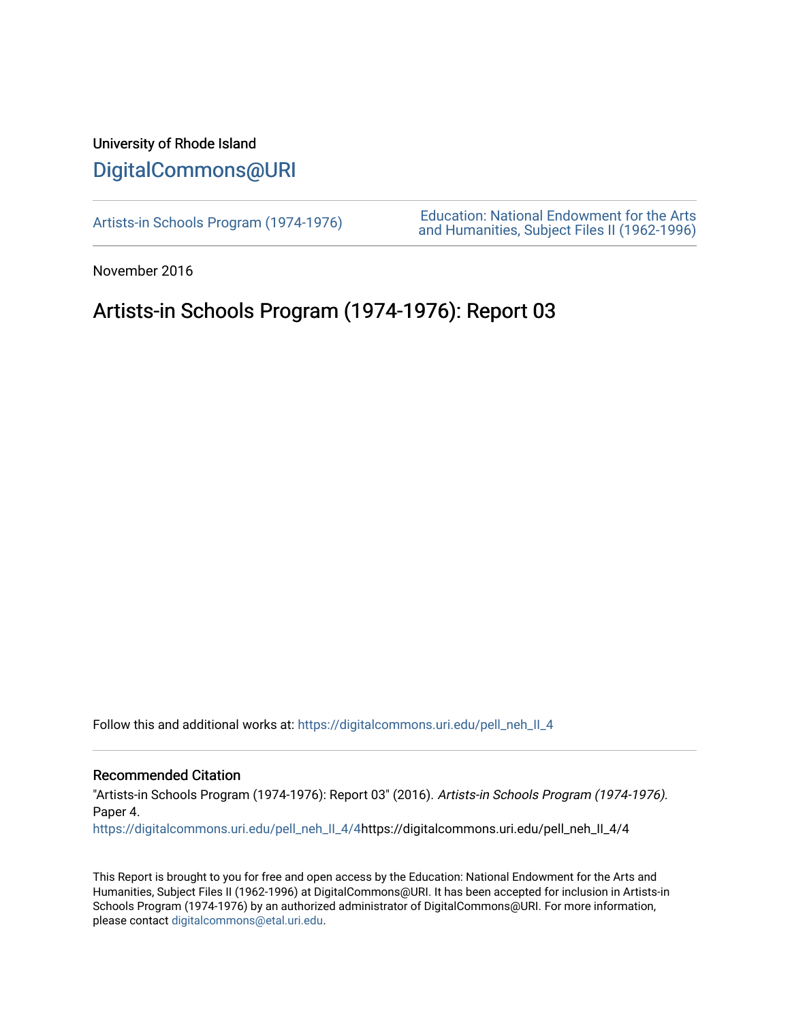## University of Rhode Island [DigitalCommons@URI](https://digitalcommons.uri.edu/)

[Artists-in Schools Program \(1974-1976\)](https://digitalcommons.uri.edu/pell_neh_II_4) [Education: National Endowment for the Arts](https://digitalcommons.uri.edu/pell_neh_II)  [and Humanities, Subject Files II \(1962-1996\)](https://digitalcommons.uri.edu/pell_neh_II) 

November 2016

## Artists-in Schools Program (1974-1976): Report 03

Follow this and additional works at: [https://digitalcommons.uri.edu/pell\\_neh\\_II\\_4](https://digitalcommons.uri.edu/pell_neh_II_4?utm_source=digitalcommons.uri.edu%2Fpell_neh_II_4%2F4&utm_medium=PDF&utm_campaign=PDFCoverPages) 

## Recommended Citation

"Artists-in Schools Program (1974-1976): Report 03" (2016). Artists-in Schools Program (1974-1976). Paper 4.

[https://digitalcommons.uri.edu/pell\\_neh\\_II\\_4/4](https://digitalcommons.uri.edu/pell_neh_II_4/4?utm_source=digitalcommons.uri.edu%2Fpell_neh_II_4%2F4&utm_medium=PDF&utm_campaign=PDFCoverPages)https://digitalcommons.uri.edu/pell\_neh\_II\_4/4

This Report is brought to you for free and open access by the Education: National Endowment for the Arts and Humanities, Subject Files II (1962-1996) at DigitalCommons@URI. It has been accepted for inclusion in Artists-in Schools Program (1974-1976) by an authorized administrator of DigitalCommons@URI. For more information, please contact [digitalcommons@etal.uri.edu.](mailto:digitalcommons@etal.uri.edu)